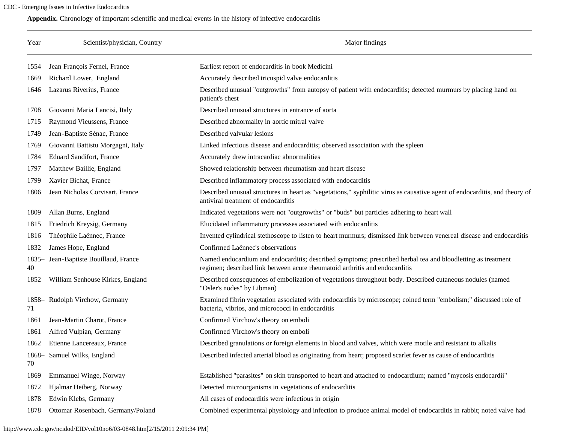## <span id="page-0-0"></span>CDC - Emerging Issues in Infective Endocarditis

**Appendix.** Chronology of important scientific and medical events in the history of infective endocarditis

| Year          | Scientist/physician, Country      | Major findings                                                                                                                                                                             |
|---------------|-----------------------------------|--------------------------------------------------------------------------------------------------------------------------------------------------------------------------------------------|
| 1554          | Jean François Fernel, France      | Earliest report of endocarditis in book Medicini                                                                                                                                           |
| 1669          | Richard Lower, England            | Accurately described tricuspid valve endocarditis                                                                                                                                          |
| 1646          | Lazarus Riverius, France          | Described unusual "outgrowths" from autopsy of patient with endocarditis; detected murmurs by placing hand on<br>patient's chest                                                           |
| 1708          | Giovanni Maria Lancisi, Italy     | Described unusual structures in entrance of aorta                                                                                                                                          |
| 1715          | Raymond Vieussens, France         | Described abnormality in aortic mitral valve                                                                                                                                               |
| 1749          | Jean-Baptiste Sénac, France       | Described valvular lesions                                                                                                                                                                 |
| 1769          | Giovanni Battistu Morgagni, Italy | Linked infectious disease and endocarditis; observed association with the spleen                                                                                                           |
| 1784          | <b>Eduard Sandifort, France</b>   | Accurately drew intracardiac abnormalities                                                                                                                                                 |
| 1797          | Matthew Baillie, England          | Showed relationship between rheumatism and heart disease                                                                                                                                   |
| 1799          | Xavier Bichat, France             | Described inflammatory process associated with endocarditis                                                                                                                                |
| 1806          | Jean Nicholas Corvisart, France   | Described unusual structures in heart as "vegetations," syphilitic virus as causative agent of endocarditis, and theory of<br>antiviral treatment of endocarditis                          |
| 1809          | Allan Burns, England              | Indicated vegetations were not "outgrowths" or "buds" but particles adhering to heart wall                                                                                                 |
| 1815          | Friedrich Kreysig, Germany        | Elucidated inflammatory processes associated with endocarditis                                                                                                                             |
| 1816          | Théophile Laënnec, France         | Invented cylindrical stethoscope to listen to heart murmurs; dismissed link between venereal disease and endocarditis                                                                      |
| 1832          | James Hope, England               | Confirmed Laënnec's observations                                                                                                                                                           |
| $1835-$<br>40 | Jean-Baptiste Bouillaud, France   | Named endocardium and endocarditis; described symptoms; prescribed herbal tea and bloodletting as treatment<br>regimen; described link between acute rheumatoid arthritis and endocarditis |
| 1852          | William Senhouse Kirkes, England  | Described consequences of embolization of vegetations throughout body. Described cutaneous nodules (named<br>"Osler's nodes" by Libman)                                                    |
| 71            | 1858- Rudolph Virchow, Germany    | Examined fibrin vegetation associated with endocarditis by microscope; coined term "embolism;" discussed role of<br>bacteria, vibrios, and micrococci in endocarditis                      |
| 1861          | Jean-Martin Charot, France        | Confirmed Virchow's theory on emboli                                                                                                                                                       |
| 1861          | Alfred Vulpian, Germany           | Confirmed Virchow's theory on emboli                                                                                                                                                       |
| 1862          | Etienne Lancereaux, France        | Described granulations or foreign elements in blood and valves, which were motile and resistant to alkalis                                                                                 |
| 70            | 1868- Samuel Wilks, England       | Described infected arterial blood as originating from heart; proposed scarlet fever as cause of endocarditis                                                                               |
| 1869          | Emmanuel Winge, Norway            | Established "parasites" on skin transported to heart and attached to endocardium; named "mycosis endocardii"                                                                               |
| 1872          | Hjalmar Heiberg, Norway           | Detected microorganisms in vegetations of endocarditis                                                                                                                                     |
| 1878          | Edwin Klebs, Germany              | All cases of endocarditis were infectious in origin                                                                                                                                        |
| 1878          | Ottomar Rosenbach, Germany/Poland | Combined experimental physiology and infection to produce animal model of endocarditis in rabbit; noted valve had                                                                          |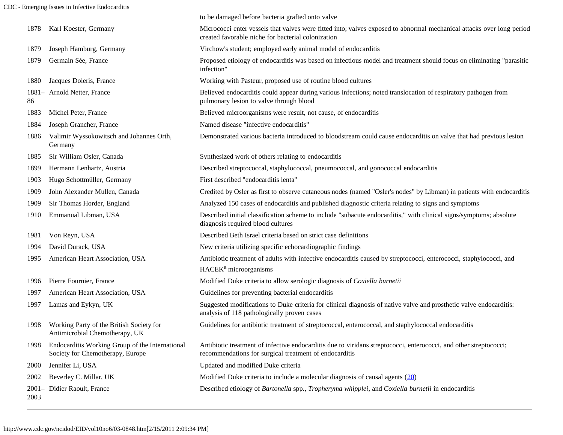CDC - Emerging Issues in Infective Endocarditis

|      |                                                                                     | to be damaged before bacteria grafted onto valve                                                                                                                            |
|------|-------------------------------------------------------------------------------------|-----------------------------------------------------------------------------------------------------------------------------------------------------------------------------|
| 1878 | Karl Koester, Germany                                                               | Micrococci enter vessels that valves were fitted into; valves exposed to abnormal mechanical attacks over long period<br>created favorable niche for bacterial colonization |
| 1879 | Joseph Hamburg, Germany                                                             | Virchow's student; employed early animal model of endocarditis                                                                                                              |
| 1879 | Germain Sée, France                                                                 | Proposed etiology of endocarditis was based on infectious model and treatment should focus on eliminating "parasitic<br>infection"                                          |
| 1880 | Jacques Doleris, France                                                             | Working with Pasteur, proposed use of routine blood cultures                                                                                                                |
| 86   | 1881- Arnold Netter, France                                                         | Believed endocarditis could appear during various infections; noted translocation of respiratory pathogen from<br>pulmonary lesion to valve through blood                   |
| 1883 | Michel Peter, France                                                                | Believed microorganisms were result, not cause, of endocarditis                                                                                                             |
| 1884 | Joseph Grancher, France                                                             | Named disease "infective endocarditis"                                                                                                                                      |
| 1886 | Valimir Wyssokowitsch and Johannes Orth,<br>Germany                                 | Demonstrated various bacteria introduced to bloodstream could cause endocarditis on valve that had previous lesion                                                          |
| 1885 | Sir William Osler, Canada                                                           | Synthesized work of others relating to endocarditis                                                                                                                         |
| 1899 | Hermann Lenhartz, Austria                                                           | Described streptococcal, staphylococcal, pneumococcal, and gonococcal endocarditis                                                                                          |
| 1903 | Hugo Schottmüller, Germany                                                          | First described "endocarditis lenta"                                                                                                                                        |
| 1909 | John Alexander Mullen, Canada                                                       | Credited by Osler as first to observe cutaneous nodes (named "Osler's nodes" by Libman) in patients with endocarditis                                                       |
| 1909 | Sir Thomas Horder, England                                                          | Analyzed 150 cases of endocarditis and published diagnostic criteria relating to signs and symptoms                                                                         |
| 1910 | Emmanual Libman, USA                                                                | Described initial classification scheme to include "subacute endocarditis," with clinical signs/symptoms; absolute<br>diagnosis required blood cultures                     |
| 1981 | Von Reyn, USA                                                                       | Described Beth Israel criteria based on strict case definitions                                                                                                             |
| 1994 | David Durack, USA                                                                   | New criteria utilizing specific echocardiographic findings                                                                                                                  |
| 1995 | American Heart Association, USA                                                     | Antibiotic treatment of adults with infective endocarditis caused by streptococci, enterococci, staphylococci, and                                                          |
|      |                                                                                     | HACEK <sup>a</sup> microorganisms                                                                                                                                           |
| 1996 | Pierre Fournier, France                                                             | Modified Duke criteria to allow serologic diagnosis of Coxiella burnetii                                                                                                    |
| 1997 | American Heart Association, USA                                                     | Guidelines for preventing bacterial endocarditis                                                                                                                            |
| 1997 | Lamas and Eykyn, UK                                                                 | Suggested modifications to Duke criteria for clinical diagnosis of native valve and prosthetic valve endocarditis:<br>analysis of 118 pathologically proven cases           |
| 1998 | Working Party of the British Society for<br>Antimicrobial Chemotherapy, UK          | Guidelines for antibiotic treatment of streptococcal, enterococcal, and staphylococcal endocarditis                                                                         |
| 1998 | Endocarditis Working Group of the International<br>Society for Chemotherapy, Europe | Antibiotic treatment of infective endocarditis due to viridans streptococci, enterococci, and other streptococci;<br>recommendations for surgical treatment of endocarditis |
| 2000 | Jennifer Li, USA                                                                    | Updated and modified Duke criteria                                                                                                                                          |
| 2002 | Beverley C. Millar, UK                                                              | Modified Duke criteria to include a molecular diagnosis of causal agents $(20)$                                                                                             |
| 2003 | 2001- Didier Raoult, France                                                         | Described etiology of Bartonella spp., Tropheryma whipplei, and Coxiella burnetii in endocarditis                                                                           |